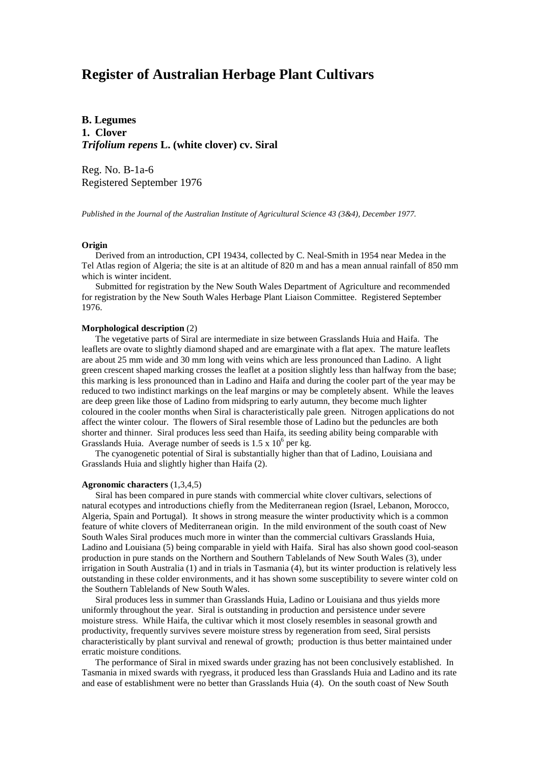# **Register of Australian Herbage Plant Cultivars**

**B. Legumes 1. Clover** *Trifolium repens* **L. (white clover) cv. Siral**

Reg. No. B-1a-6 Registered September 1976

*Published in the Journal of the Australian Institute of Agricultural Science 43 (3&4), December 1977.*

### **Origin**

 Derived from an introduction, CPI 19434, collected by C. Neal-Smith in 1954 near Medea in the Tel Atlas region of Algeria; the site is at an altitude of 820 m and has a mean annual rainfall of 850 mm which is winter incident.

 Submitted for registration by the New South Wales Department of Agriculture and recommended for registration by the New South Wales Herbage Plant Liaison Committee. Registered September 1976.

### **Morphological description** (2)

 The vegetative parts of Siral are intermediate in size between Grasslands Huia and Haifa. The leaflets are ovate to slightly diamond shaped and are emarginate with a flat apex. The mature leaflets are about 25 mm wide and 30 mm long with veins which are less pronounced than Ladino. A light green crescent shaped marking crosses the leaflet at a position slightly less than halfway from the base; this marking is less pronounced than in Ladino and Haifa and during the cooler part of the year may be reduced to two indistinct markings on the leaf margins or may be completely absent. While the leaves are deep green like those of Ladino from midspring to early autumn, they become much lighter coloured in the cooler months when Siral is characteristically pale green. Nitrogen applications do not affect the winter colour. The flowers of Siral resemble those of Ladino but the peduncles are both shorter and thinner. Siral produces less seed than Haifa, its seeding ability being comparable with Grasslands Huia. Average number of seeds is  $1.5 \times 10^6$  per kg.

 The cyanogenetic potential of Siral is substantially higher than that of Ladino, Louisiana and Grasslands Huia and slightly higher than Haifa (2).

### **Agronomic characters** (1,3,4,5)

 Siral has been compared in pure stands with commercial white clover cultivars, selections of natural ecotypes and introductions chiefly from the Mediterranean region (Israel, Lebanon, Morocco, Algeria, Spain and Portugal). It shows in strong measure the winter productivity which is a common feature of white clovers of Mediterranean origin. In the mild environment of the south coast of New South Wales Siral produces much more in winter than the commercial cultivars Grasslands Huia, Ladino and Louisiana (5) being comparable in yield with Haifa. Siral has also shown good cool-season production in pure stands on the Northern and Southern Tablelands of New South Wales (3), under irrigation in South Australia (1) and in trials in Tasmania (4), but its winter production is relatively less outstanding in these colder environments, and it has shown some susceptibility to severe winter cold on the Southern Tablelands of New South Wales.

 Siral produces less in summer than Grasslands Huia, Ladino or Louisiana and thus yields more uniformly throughout the year. Siral is outstanding in production and persistence under severe moisture stress. While Haifa, the cultivar which it most closely resembles in seasonal growth and productivity, frequently survives severe moisture stress by regeneration from seed, Siral persists characteristically by plant survival and renewal of growth; production is thus better maintained under erratic moisture conditions.

 The performance of Siral in mixed swards under grazing has not been conclusively established. In Tasmania in mixed swards with ryegrass, it produced less than Grasslands Huia and Ladino and its rate and ease of establishment were no better than Grasslands Huia (4). On the south coast of New South